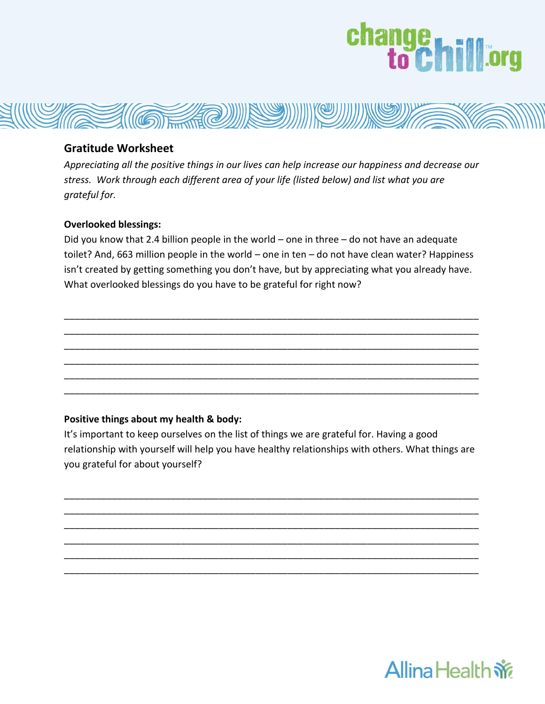# change<br>to Chill.org



### **Gratitude Worksheet**

*Appreciating all the positive things in our lives can help increase our happiness and decrease our stress. Work through each different area of your life (listed below) and list what you are grateful for.*

### **Overlooked blessings:**

Did you know that 2.4 billion people in the world – one in three – do not have an adequate toilet? And, 663 million people in the world – one in ten – do not have clean water? Happiness isn't created by getting something you don't have, but by appreciating what you already have. What overlooked blessings do you have to be grateful for right now?

\_\_\_\_\_\_\_\_\_\_\_\_\_\_\_\_\_\_\_\_\_\_\_\_\_\_\_\_\_\_\_\_\_\_\_\_\_\_\_\_\_\_\_\_\_\_\_\_\_\_\_\_\_\_\_\_\_\_\_\_\_\_\_\_\_\_\_\_\_\_\_\_\_\_\_\_\_\_ \_\_\_\_\_\_\_\_\_\_\_\_\_\_\_\_\_\_\_\_\_\_\_\_\_\_\_\_\_\_\_\_\_\_\_\_\_\_\_\_\_\_\_\_\_\_\_\_\_\_\_\_\_\_\_\_\_\_\_\_\_\_\_\_\_\_\_\_\_\_\_\_\_\_\_\_\_\_ \_\_\_\_\_\_\_\_\_\_\_\_\_\_\_\_\_\_\_\_\_\_\_\_\_\_\_\_\_\_\_\_\_\_\_\_\_\_\_\_\_\_\_\_\_\_\_\_\_\_\_\_\_\_\_\_\_\_\_\_\_\_\_\_\_\_\_\_\_\_\_\_\_\_\_\_\_\_ \_\_\_\_\_\_\_\_\_\_\_\_\_\_\_\_\_\_\_\_\_\_\_\_\_\_\_\_\_\_\_\_\_\_\_\_\_\_\_\_\_\_\_\_\_\_\_\_\_\_\_\_\_\_\_\_\_\_\_\_\_\_\_\_\_\_\_\_\_\_\_\_\_\_\_\_\_\_ \_\_\_\_\_\_\_\_\_\_\_\_\_\_\_\_\_\_\_\_\_\_\_\_\_\_\_\_\_\_\_\_\_\_\_\_\_\_\_\_\_\_\_\_\_\_\_\_\_\_\_\_\_\_\_\_\_\_\_\_\_\_\_\_\_\_\_\_\_\_\_\_\_\_\_\_\_\_ \_\_\_\_\_\_\_\_\_\_\_\_\_\_\_\_\_\_\_\_\_\_\_\_\_\_\_\_\_\_\_\_\_\_\_\_\_\_\_\_\_\_\_\_\_\_\_\_\_\_\_\_\_\_\_\_\_\_\_\_\_\_\_\_\_\_\_\_\_\_\_\_\_\_\_\_\_\_

### **Positive things about my health & body:**

It's important to keep ourselves on the list of things we are grateful for. Having a good relationship with yourself will help you have healthy relationships with others. What things are you grateful for about yourself?

\_\_\_\_\_\_\_\_\_\_\_\_\_\_\_\_\_\_\_\_\_\_\_\_\_\_\_\_\_\_\_\_\_\_\_\_\_\_\_\_\_\_\_\_\_\_\_\_\_\_\_\_\_\_\_\_\_\_\_\_\_\_\_\_\_\_\_\_\_\_\_\_\_\_\_\_\_\_ \_\_\_\_\_\_\_\_\_\_\_\_\_\_\_\_\_\_\_\_\_\_\_\_\_\_\_\_\_\_\_\_\_\_\_\_\_\_\_\_\_\_\_\_\_\_\_\_\_\_\_\_\_\_\_\_\_\_\_\_\_\_\_\_\_\_\_\_\_\_\_\_\_\_\_\_\_\_ \_\_\_\_\_\_\_\_\_\_\_\_\_\_\_\_\_\_\_\_\_\_\_\_\_\_\_\_\_\_\_\_\_\_\_\_\_\_\_\_\_\_\_\_\_\_\_\_\_\_\_\_\_\_\_\_\_\_\_\_\_\_\_\_\_\_\_\_\_\_\_\_\_\_\_\_\_\_ \_\_\_\_\_\_\_\_\_\_\_\_\_\_\_\_\_\_\_\_\_\_\_\_\_\_\_\_\_\_\_\_\_\_\_\_\_\_\_\_\_\_\_\_\_\_\_\_\_\_\_\_\_\_\_\_\_\_\_\_\_\_\_\_\_\_\_\_\_\_\_\_\_\_\_\_\_\_ \_\_\_\_\_\_\_\_\_\_\_\_\_\_\_\_\_\_\_\_\_\_\_\_\_\_\_\_\_\_\_\_\_\_\_\_\_\_\_\_\_\_\_\_\_\_\_\_\_\_\_\_\_\_\_\_\_\_\_\_\_\_\_\_\_\_\_\_\_\_\_\_\_\_\_\_\_\_ \_\_\_\_\_\_\_\_\_\_\_\_\_\_\_\_\_\_\_\_\_\_\_\_\_\_\_\_\_\_\_\_\_\_\_\_\_\_\_\_\_\_\_\_\_\_\_\_\_\_\_\_\_\_\_\_\_\_\_\_\_\_\_\_\_\_\_\_\_\_\_\_\_\_\_\_\_\_

# Allina Health  $\dot{\mathbf{w}}$